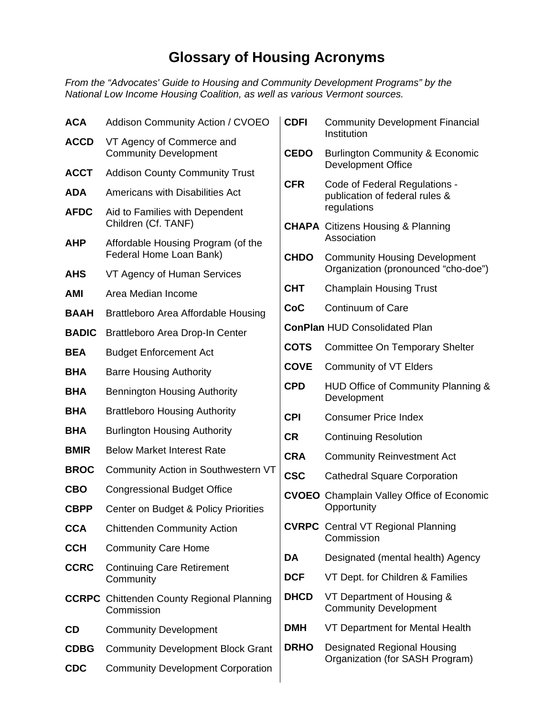## **Glossary of Housing Acronyms**

*From the "Advocates' Guide to Housing and Community Development Programs" by the National Low Income Housing Coalition, as well as various Vermont sources.* 

| <b>ACA</b>   | <b>Addison Community Action / CVOEO</b>                        | <b>CDFI</b>                                         | <b>Community Development Financial</b><br>Institution                 |  |
|--------------|----------------------------------------------------------------|-----------------------------------------------------|-----------------------------------------------------------------------|--|
| <b>ACCD</b>  | VT Agency of Commerce and<br><b>Community Development</b>      | <b>CEDO</b>                                         | <b>Burlington Community &amp; Economic</b>                            |  |
| <b>ACCT</b>  | <b>Addison County Community Trust</b>                          |                                                     | <b>Development Office</b>                                             |  |
| <b>ADA</b>   | Americans with Disabilities Act                                | <b>CFR</b>                                          | Code of Federal Regulations -<br>publication of federal rules &       |  |
| <b>AFDC</b>  | Aid to Families with Dependent                                 |                                                     | regulations                                                           |  |
|              | Children (Cf. TANF)                                            |                                                     | <b>CHAPA</b> Citizens Housing & Planning<br>Association               |  |
| <b>AHP</b>   | Affordable Housing Program (of the<br>Federal Home Loan Bank)  | <b>CHDO</b><br><b>Community Housing Development</b> |                                                                       |  |
| <b>AHS</b>   | VT Agency of Human Services                                    |                                                     | Organization (pronounced "cho-doe")                                   |  |
| <b>AMI</b>   | Area Median Income                                             | <b>CHT</b>                                          | <b>Champlain Housing Trust</b>                                        |  |
| <b>BAAH</b>  | Brattleboro Area Affordable Housing                            | CoC                                                 | Continuum of Care                                                     |  |
| <b>BADIC</b> | Brattleboro Area Drop-In Center                                |                                                     | <b>ConPlan HUD Consolidated Plan</b>                                  |  |
| <b>BEA</b>   | <b>Budget Enforcement Act</b>                                  | <b>COTS</b>                                         | <b>Committee On Temporary Shelter</b>                                 |  |
| <b>BHA</b>   | <b>Barre Housing Authority</b>                                 | <b>COVE</b>                                         | <b>Community of VT Elders</b>                                         |  |
| <b>BHA</b>   | <b>Bennington Housing Authority</b>                            | <b>CPD</b>                                          | HUD Office of Community Planning &<br>Development                     |  |
| <b>BHA</b>   | <b>Brattleboro Housing Authority</b>                           | <b>CPI</b>                                          | <b>Consumer Price Index</b>                                           |  |
| <b>BHA</b>   | <b>Burlington Housing Authority</b>                            | <b>CR</b>                                           | <b>Continuing Resolution</b>                                          |  |
| <b>BMIR</b>  | <b>Below Market Interest Rate</b>                              | <b>CRA</b>                                          | <b>Community Reinvestment Act</b>                                     |  |
| <b>BROC</b>  | Community Action in Southwestern VT                            | <b>CSC</b>                                          | <b>Cathedral Square Corporation</b>                                   |  |
| <b>CBO</b>   | <b>Congressional Budget Office</b>                             |                                                     | <b>CVOEO</b> Champlain Valley Office of Economic                      |  |
| <b>CBPP</b>  | Center on Budget & Policy Priorities                           |                                                     | Opportunity                                                           |  |
| <b>CCA</b>   | <b>Chittenden Community Action</b>                             |                                                     | <b>CVRPC</b> Central VT Regional Planning<br>Commission               |  |
| <b>CCH</b>   | <b>Community Care Home</b>                                     | DA                                                  | Designated (mental health) Agency                                     |  |
| <b>CCRC</b>  | <b>Continuing Care Retirement</b>                              | <b>DCF</b>                                          | VT Dept. for Children & Families                                      |  |
|              | Community                                                      |                                                     |                                                                       |  |
|              | <b>CCRPC</b> Chittenden County Regional Planning<br>Commission | <b>DHCD</b>                                         | VT Department of Housing &<br><b>Community Development</b>            |  |
| <b>CD</b>    | <b>Community Development</b>                                   | <b>DMH</b>                                          | VT Department for Mental Health                                       |  |
| <b>CDBG</b>  | <b>Community Development Block Grant</b>                       | <b>DRHO</b>                                         | <b>Designated Regional Housing</b><br>Organization (for SASH Program) |  |
| <b>CDC</b>   | <b>Community Development Corporation</b>                       |                                                     |                                                                       |  |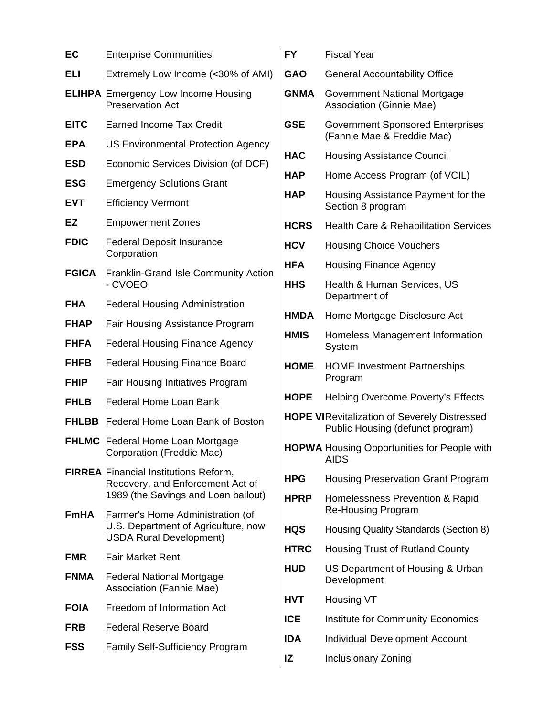| EC           | <b>Enterprise Communities</b>                                                                                           |
|--------------|-------------------------------------------------------------------------------------------------------------------------|
| ELI          | Extremely Low Income (<30% of AMI)                                                                                      |
|              | <b>ELIHPA</b> Emergency Low Income Housing<br><b>Preservation Act</b>                                                   |
| <b>EITC</b>  | <b>Earned Income Tax Credit</b>                                                                                         |
| <b>EPA</b>   | <b>US Environmental Protection Agency</b>                                                                               |
| <b>ESD</b>   | Economic Services Division (of DCF)                                                                                     |
| <b>ESG</b>   | <b>Emergency Solutions Grant</b>                                                                                        |
| <b>EVT</b>   | <b>Efficiency Vermont</b>                                                                                               |
| EZ           | <b>Empowerment Zones</b>                                                                                                |
| <b>FDIC</b>  | <b>Federal Deposit Insurance</b><br>Corporation                                                                         |
| <b>FGICA</b> | <b>Franklin-Grand Isle Community Action</b><br>- CVOEO                                                                  |
| <b>FHA</b>   | <b>Federal Housing Administration</b>                                                                                   |
| <b>FHAP</b>  | Fair Housing Assistance Program                                                                                         |
| <b>FHFA</b>  | <b>Federal Housing Finance Agency</b>                                                                                   |
| <b>FHFB</b>  | <b>Federal Housing Finance Board</b>                                                                                    |
| <b>FHIP</b>  | <b>Fair Housing Initiatives Program</b>                                                                                 |
| <b>FHLB</b>  | Federal Home Loan Bank                                                                                                  |
| <b>FHLBB</b> | Federal Home Loan Bank of Boston                                                                                        |
|              | <b>FHLMC</b> Federal Home Loan Mortgage<br>Corporation (Freddie Mac)                                                    |
|              | <b>FIRREA</b> Financial Institutions Reform,<br>Recovery, and Enforcement Act of<br>1989 (the Savings and Loan bailout) |
| FmHA         | Farmer's Home Administration (of<br>U.S. Department of Agriculture, now<br><b>USDA Rural Development)</b>               |
| <b>FMR</b>   | <b>Fair Market Rent</b>                                                                                                 |
| <b>FNMA</b>  | <b>Federal National Mortgage</b><br>Association (Fannie Mae)                                                            |
| <b>FOIA</b>  | Freedom of Information Act                                                                                              |
| <b>FRB</b>   | <b>Federal Reserve Board</b>                                                                                            |
| <b>FSS</b>   | <b>Family Self-Sufficiency Program</b>                                                                                  |

| <b>FY</b>   | <b>Fiscal Year</b>                                                                      |
|-------------|-----------------------------------------------------------------------------------------|
| <b>GAO</b>  | <b>General Accountability Office</b>                                                    |
| <b>GNMA</b> | Government National Mortgage<br><b>Association (Ginnie Mae)</b>                         |
| <b>GSE</b>  | <b>Government Sponsored Enterprises</b><br>(Fannie Mae & Freddie Mac)                   |
| <b>HAC</b>  | <b>Housing Assistance Council</b>                                                       |
| <b>HAP</b>  | Home Access Program (of VCIL)                                                           |
| <b>HAP</b>  | Housing Assistance Payment for the<br>Section 8 program                                 |
| <b>HCRS</b> | <b>Health Care &amp; Rehabilitation Services</b>                                        |
| <b>HCV</b>  | <b>Housing Choice Vouchers</b>                                                          |
| <b>HFA</b>  | <b>Housing Finance Agency</b>                                                           |
| <b>HHS</b>  | <b>Health &amp; Human Services, US</b><br>Department of                                 |
| <b>HMDA</b> | Home Mortgage Disclosure Act                                                            |
| <b>HMIS</b> | Homeless Management Information<br>System                                               |
| <b>HOME</b> | <b>HOME Investment Partnerships</b><br>Program                                          |
|             |                                                                                         |
| <b>HOPE</b> | <b>Helping Overcome Poverty's Effects</b>                                               |
|             | <b>HOPE VIRevitalization of Severely Distressed</b><br>Public Housing (defunct program) |
|             | <b>HOPWA Housing Opportunities for People with</b><br><b>AIDS</b>                       |
| <b>HPG</b>  | <b>Housing Preservation Grant Program</b>                                               |
| <b>HPRP</b> | Homelessness Prevention & Rapid<br><b>Re-Housing Program</b>                            |
| <b>HQS</b>  | Housing Quality Standards (Section 8)                                                   |
| <b>HTRC</b> | <b>Housing Trust of Rutland County</b>                                                  |
| <b>HUD</b>  | US Department of Housing & Urban<br>Development                                         |
| <b>HVT</b>  | Housing VT                                                                              |
| <b>ICE</b>  | <b>Institute for Community Economics</b>                                                |
| <b>IDA</b>  | <b>Individual Development Account</b>                                                   |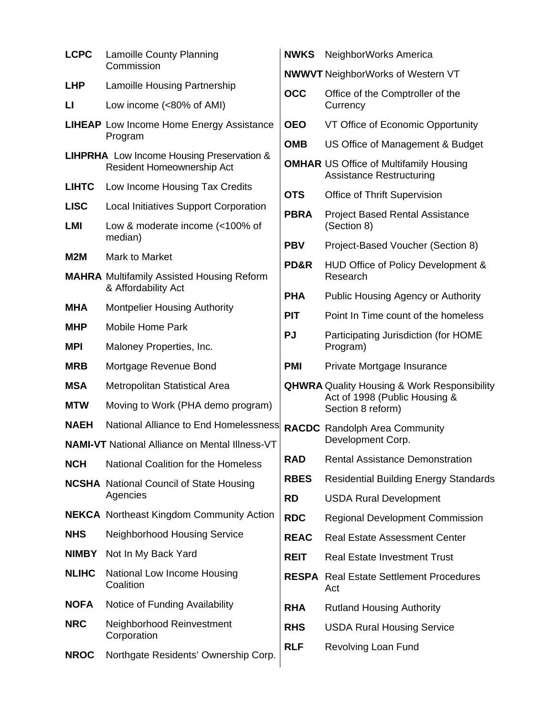| <b>LCPC</b>  | <b>Lamoille County Planning</b><br>Commission                                         | <b>NWI</b>               |
|--------------|---------------------------------------------------------------------------------------|--------------------------|
| LHP          | <b>Lamoille Housing Partnership</b>                                                   | <b>NW</b>                |
| п            | Low income (<80% of AMI)                                                              | OC <sub>o</sub>          |
|              | <b>LIHEAP</b> Low Income Home Energy Assistance<br>Program                            | <b>OEC</b><br><b>OMI</b> |
|              | <b>LIHPRHA</b> Low Income Housing Preservation &<br><b>Resident Homeownership Act</b> | <b>OMI</b>               |
| <b>LIHTC</b> | Low Income Housing Tax Credits                                                        | <b>OTS</b>               |
| <b>LISC</b>  | <b>Local Initiatives Support Corporation</b>                                          | <b>PBF</b>               |
| LMI          | Low & moderate income (<100% of<br>median)                                            | <b>PB</b>                |
| M2M          | Mark to Market                                                                        | PD <sub>8</sub>          |
|              | <b>MAHRA</b> Multifamily Assisted Housing Reform<br>& Affordability Act               |                          |
| <b>MHA</b>   | <b>Montpelier Housing Authority</b>                                                   | <b>PHA</b>               |
| MHP          | <b>Mobile Home Park</b>                                                               | <b>PIT</b><br><b>PJ</b>  |
| <b>MPI</b>   | Maloney Properties, Inc.                                                              |                          |
| <b>MRB</b>   | Mortgage Revenue Bond                                                                 | <b>PMI</b>               |
| <b>MSA</b>   | Metropolitan Statistical Area                                                         | QH                       |
| <b>MTW</b>   | Moving to Work (PHA demo program)                                                     |                          |
| <b>NAEH</b>  | National Alliance to End Homelessness                                                 | <b>RAC</b>               |
|              | <b>NAMI-VT</b> National Alliance on Mental Illness-VT                                 |                          |
| <b>NCH</b>   | National Coalition for the Homeless                                                   | <b>RAL</b>               |
|              | <b>NCSHA</b> National Council of State Housing<br>Agencies                            | <b>RBE</b><br><b>RD</b>  |
|              | <b>NEKCA</b> Northeast Kingdom Community Action                                       | <b>RDC</b>               |
| <b>NHS</b>   | Neighborhood Housing Service                                                          | <b>REA</b>               |
| <b>NIMBY</b> | Not In My Back Yard                                                                   | <b>REI</b>               |
| <b>NLIHC</b> | National Low Income Housing<br>Coalition                                              | <b>RES</b>               |
| <b>NOFA</b>  | Notice of Funding Availability                                                        | RH/                      |
| <b>NRC</b>   | Neighborhood Reinvestment<br>Corporation                                              | <b>RHS</b>               |
| <b>NROC</b>  | Northgate Residents' Ownership Corp.                                                  | <b>RLF</b>               |

| <b>NWKS</b> | NeighborWorks America                                                                                    |
|-------------|----------------------------------------------------------------------------------------------------------|
|             | <b>NWWVT</b> NeighborWorks of Western VT                                                                 |
| OCC         | Office of the Comptroller of the<br>Currency                                                             |
| <b>OEO</b>  | VT Office of Economic Opportunity                                                                        |
| <b>OMB</b>  | US Office of Management & Budget                                                                         |
|             | <b>OMHAR</b> US Office of Multifamily Housing<br><b>Assistance Restructuring</b>                         |
| <b>OTS</b>  | <b>Office of Thrift Supervision</b>                                                                      |
| <b>PBRA</b> | <b>Project Based Rental Assistance</b><br>(Section 8)                                                    |
| <b>PBV</b>  | Project-Based Voucher (Section 8)                                                                        |
| PD&R        | HUD Office of Policy Development &<br>Research                                                           |
| PHA         | <b>Public Housing Agency or Authority</b>                                                                |
| PIT         | Point In Time count of the homeless                                                                      |
| PJ          | Participating Jurisdiction (for HOME<br>Program)                                                         |
| PMI         | Private Mortgage Insurance                                                                               |
|             | <b>QHWRA</b> Quality Housing & Work Responsibility<br>Act of 1998 (Public Housing &<br>Section 8 reform) |
|             | <b>RACDC</b> Randolph Area Community<br>Development Corp.                                                |
| <b>RAD</b>  | <b>Rental Assistance Demonstration</b>                                                                   |
| <b>RBES</b> | <b>Residential Building Energy Standards</b>                                                             |
| RD          | <b>USDA Rural Development</b>                                                                            |
| <b>RDC</b>  | <b>Regional Development Commission</b>                                                                   |
| <b>REAC</b> | <b>Real Estate Assessment Center</b>                                                                     |
| <b>REIT</b> | <b>Real Estate Investment Trust</b>                                                                      |
|             | <b>RESPA</b> Real Estate Settlement Procedures<br>Act                                                    |
| RHA         | <b>Rutland Housing Authority</b>                                                                         |
| <b>RHS</b>  | <b>USDA Rural Housing Service</b>                                                                        |
| RLF         | <b>Revolving Loan Fund</b>                                                                               |